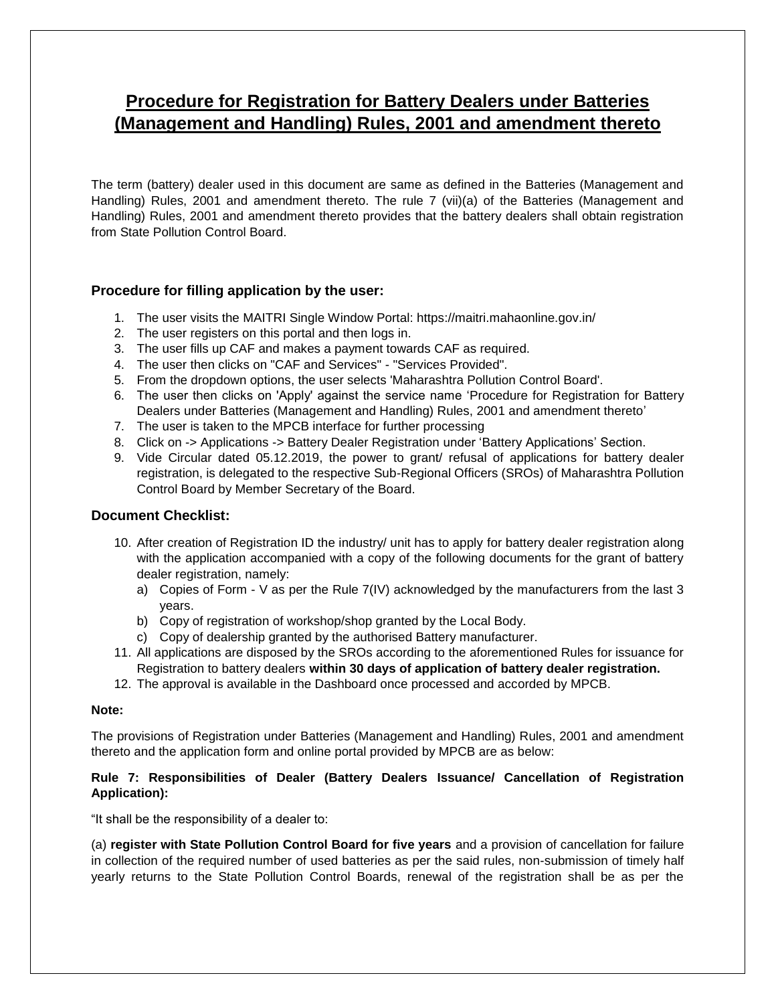# **Procedure for Registration for Battery Dealers under Batteries (Management and Handling) Rules, 2001 and amendment thereto**

The term (battery) dealer used in this document are same as defined in the Batteries (Management and Handling) Rules, 2001 and amendment thereto. The rule 7 (vii)(a) of the Batteries (Management and Handling) Rules, 2001 and amendment thereto provides that the battery dealers shall obtain registration from State Pollution Control Board.

# **Procedure for filling application by the user:**

- 1. The user visits the MAITRI Single Window Portal: https://maitri.mahaonline.gov.in/
- 2. The user registers on this portal and then logs in.
- 3. The user fills up CAF and makes a payment towards CAF as required.
- 4. The user then clicks on "CAF and Services" "Services Provided".
- 5. From the dropdown options, the user selects 'Maharashtra Pollution Control Board'.
- 6. The user then clicks on 'Apply' against the service name 'Procedure for Registration for Battery Dealers under Batteries (Management and Handling) Rules, 2001 and amendment thereto'
- 7. The user is taken to the MPCB interface for further processing
- 8. Click on -> Applications -> Battery Dealer Registration under 'Battery Applications' Section.
- 9. Vide Circular dated 05.12.2019, the power to grant/ refusal of applications for battery dealer registration, is delegated to the respective Sub-Regional Officers (SROs) of Maharashtra Pollution Control Board by Member Secretary of the Board.

## **Document Checklist:**

- 10. After creation of Registration ID the industry/ unit has to apply for battery dealer registration along with the application accompanied with a copy of the following documents for the grant of battery dealer registration, namely:
	- a) Copies of Form V as per the Rule 7(IV) acknowledged by the manufacturers from the last 3 years.
	- b) Copy of registration of workshop/shop granted by the Local Body.
	- c) Copy of dealership granted by the authorised Battery manufacturer.
- 11. All applications are disposed by the SROs according to the aforementioned Rules for issuance for Registration to battery dealers **within 30 days of application of battery dealer registration.**
- 12. The approval is available in the Dashboard once processed and accorded by MPCB.

#### **Note:**

The provisions of Registration under Batteries (Management and Handling) Rules, 2001 and amendment thereto and the application form and online portal provided by MPCB are as below:

## **Rule 7: Responsibilities of Dealer (Battery Dealers Issuance/ Cancellation of Registration Application):**

"It shall be the responsibility of a dealer to:

(a) **register with State Pollution Control Board for five years** and a provision of cancellation for failure in collection of the required number of used batteries as per the said rules, non-submission of timely half yearly returns to the State Pollution Control Boards, renewal of the registration shall be as per the